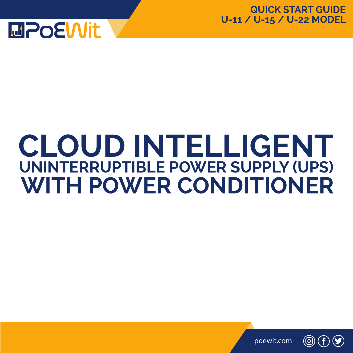

# **CLOUD INTELLIGENT UNINTERRUPTIBLE POWER SUPPLY (UPS) WITH POWER CONDITIONER**



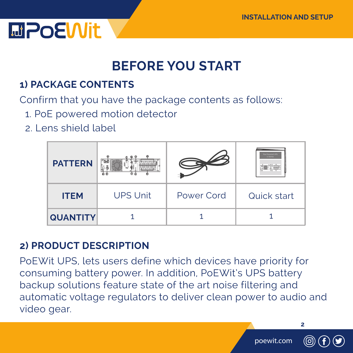

### **BEFORE YOU START**

### **1) PACKAGE CONTENTS**

Confirm that you have the package contents as follows:

- 1. PoE powered motion detector
- 2. Lens shield label



#### **2) PRODUCT DESCRIPTION**

PoEWit UPS, lets users define which devices have priority for consuming battery power. In addition, PoEWit's UPS battery backup solutions feature state of the art noise filtering and automatic voltage regulators to deliver clean power to audio and video gear.

poewit.com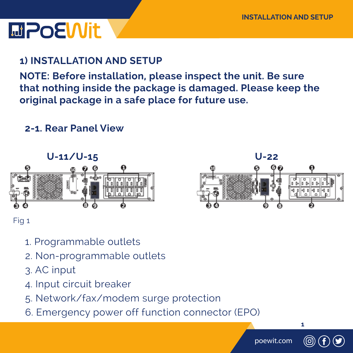# **MPOEWIt**

### **1) INSTALLATION AND SETUP**

**NOTE: Before installation, please inspect the unit. Be sure that nothing inside the package is damaged. Please keep the original package in a safe place for future use.**

#### **2-1. Rear Panel View**





- 1. Programmable outlets
- 2. Non-programmable outlets
- 3. AC input
- 4. Input circuit breaker
- 5. Network/fax/modem surge protection
- 6. Emergency power off function connector (EPO)



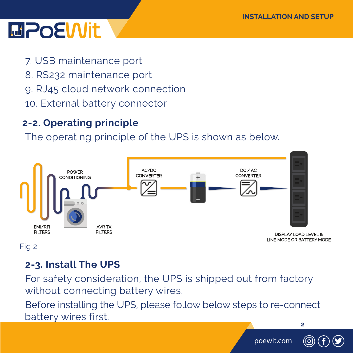## **MPOEWit**

- 7. USB maintenance port
- 8. RS232 maintenance port
- 9. RJ45 cloud network connection
- 10. External battery connector

### **2-2. Operating principle**

The operating principle of the UPS is shown as below.



Fig 2

### **2-3. Install The UPS**

For safety consideration, the UPS is shipped out from factory without connecting battery wires.

Before installing the UPS, please follow below steps to re-connect battery wires first.

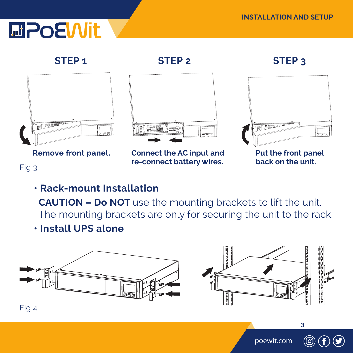# **MPOEWIt**

#### **STEP 1 STEP 2 STEP 3**





**Remove front panel. Connect the AC input and re-connect battery wires.**



**Put the front panel back on the unit.**

### Fig 3

### **• Rack-mount Installation**

 **CAUTION – Do NOT** use the mounting brackets to lift the unit. The mounting brackets are only for securing the unit to the rack.

 **• Install UPS alone**





poewit.com

**3**

Fig 4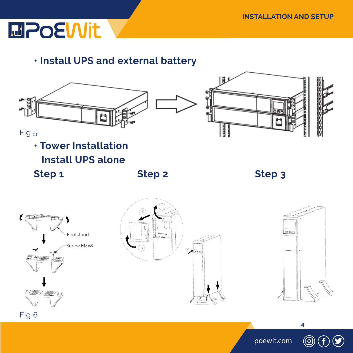

 **• Install UPS and external battery**





Fig 5

**• Tower Installation**

 **Install UPS alone**

**Step 1** Step 2 Step 3



<u>ලි</u>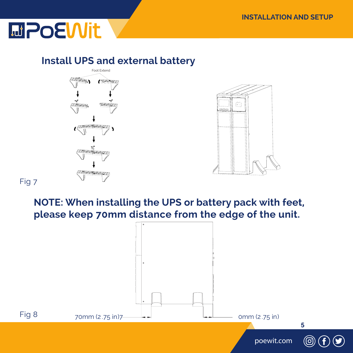

#### **Install UPS and external battery**



Fig 7

 **NOTE: When installing the UPS or battery pack with feet, please keep 70mm distance from the edge of the unit.** 

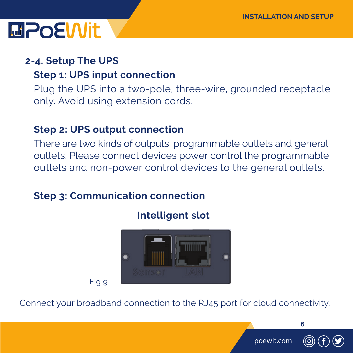### **MPOEWit**

### **2-4. Setup The UPS**

### **Step 1: UPS input connection**

 Plug the UPS into a two-pole, three-wire, grounded receptacle only. Avoid using extension cords.

### **Step 2: UPS output connection**

There are two kinds of outputs: programmable outlets and general outlets. Please connect devices power control the programmable outlets and non-power control devices to the general outlets.

### **Step 3: Communication connection**



 **Intelligent slot**

Fig 9

Connect your broadband connection to the RJ45 port for cloud connectivity.



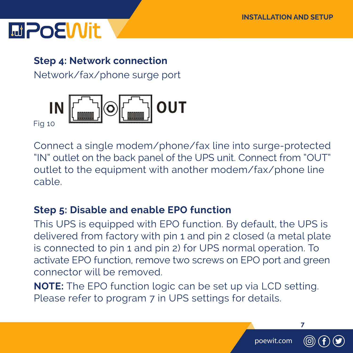## **LaPoEWit**

### **Step 4: Network connection**

Network/fax/phone surge port



Connect a single modem/phone/fax line into surge-protected "IN" outlet on the back panel of the UPS unit. Connect from "OUT" outlet to the equipment with another modem/fax/phone line cable.

### **Step 5: Disable and enable EPO function**

This UPS is equipped with EPO function. By default, the UPS is delivered from factory with pin 1 and pin 2 closed (a metal plate is connected to pin 1 and pin 2) for UPS normal operation. To activate EPO function, remove two screws on EPO port and green connector will be removed.

 **NOTE:** The EPO function logic can be set up via LCD setting. Please refer to program 7 in UPS settings for details.

poewit.com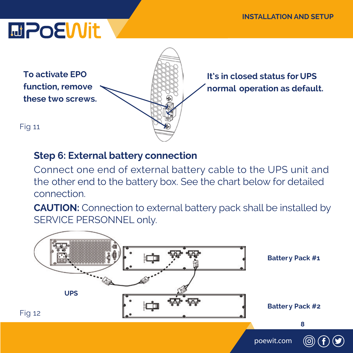# **MPOEWIt**



**It's in closed status for UPS normal operation as default.**

### **Step 6: External battery connection**

Connect one end of external battery cable to the UPS unit and the other end to the battery box. See the chart below for detailed connection.

**CAUTION:** Connection to external battery pack shall be installed by SERVICE PERSONNEL only.

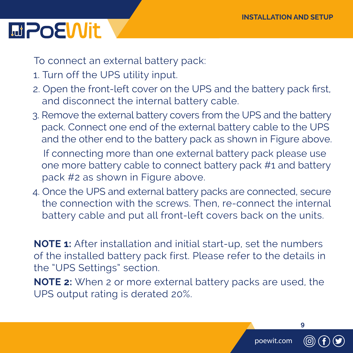### **MPoEWit**

To connect an external battery pack:

- 1. Turn off the UPS utility input.
- 2. Open the front-left cover on the UPS and the battery pack first, and disconnect the internal battery cable.
- 3. Remove the external battery covers from the UPS and the battery pack. Connect one end of the external battery cable to the UPS and the other end to the battery pack as shown in Figure above.

 If connecting more than one external battery pack please use one more battery cable to connect battery pack #1 and battery pack #2 as shown in Figure above.

 4. Once the UPS and external battery packs are connected, secure the connection with the screws. Then, re-connect the internal battery cable and put all front-left covers back on the units.

**NOTE 1:** After installation and initial start-up, set the numbers of the installed battery pack first. Please refer to the details in the "UPS Settings" section.

**NOTE 2:** When 2 or more external battery packs are used, the UPS output rating is derated 20%.

poewit.com